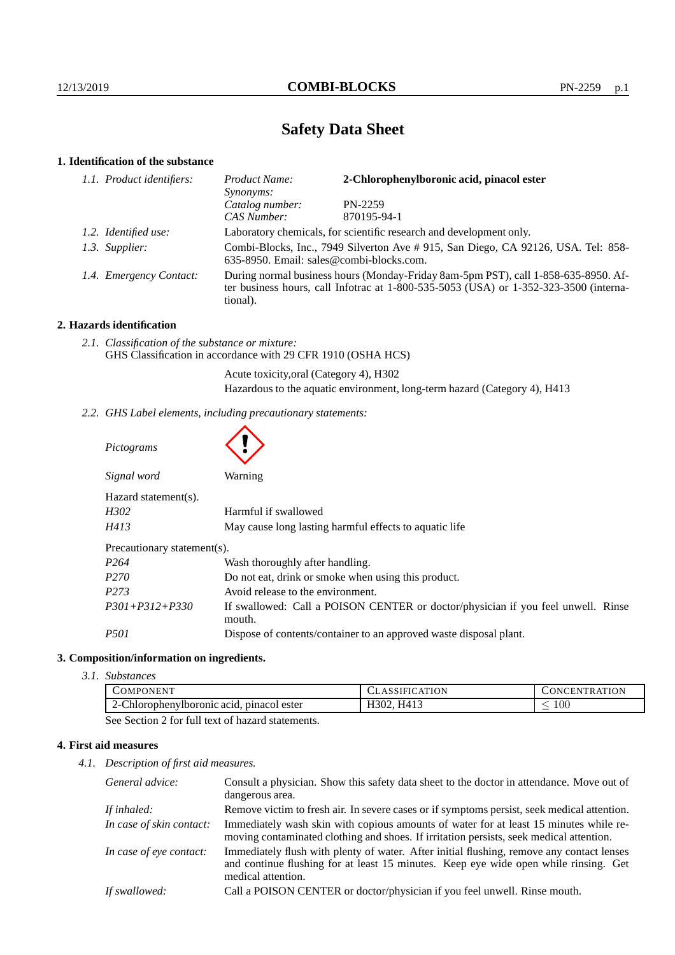# **Safety Data Sheet**

# **1. Identification of the substance**

| 1.1. Product identifiers: | Product Name:<br>Synonyms:                                                                                                                                                              | 2-Chlorophenylboronic acid, pinacol ester |
|---------------------------|-----------------------------------------------------------------------------------------------------------------------------------------------------------------------------------------|-------------------------------------------|
|                           | Catalog number:                                                                                                                                                                         | PN-2259                                   |
|                           | CAS Number:                                                                                                                                                                             | 870195-94-1                               |
| 1.2. Identified use:      | Laboratory chemicals, for scientific research and development only.                                                                                                                     |                                           |
| 1.3. Supplier:            | Combi-Blocks, Inc., 7949 Silverton Ave # 915, San Diego, CA 92126, USA. Tel: 858-<br>635-8950. Email: sales@combi-blocks.com.                                                           |                                           |
| 1.4. Emergency Contact:   | During normal business hours (Monday-Friday 8am-5pm PST), call 1-858-635-8950. Af-<br>ter business hours, call Infotrac at 1-800-535-5053 (USA) or 1-352-323-3500 (interna-<br>tional). |                                           |

# **2. Hazards identification**

*2.1. Classification of the substance or mixture:* GHS Classification in accordance with 29 CFR 1910 (OSHA HCS)

 $\blacktriangle$ 

Acute toxicity,oral (Category 4), H302

Hazardous to the aquatic environment, long-term hazard (Category 4), H413

*2.2. GHS Label elements, including precautionary statements:*

| Pictograms                  |                                                                                            |  |
|-----------------------------|--------------------------------------------------------------------------------------------|--|
| Signal word                 | Warning                                                                                    |  |
| Hazard statement(s).        |                                                                                            |  |
| H302                        | Harmful if swallowed                                                                       |  |
| H413                        | May cause long lasting harmful effects to aquatic life                                     |  |
| Precautionary statement(s). |                                                                                            |  |
| P <sub>264</sub>            | Wash thoroughly after handling.                                                            |  |
| P <sub>270</sub>            | Do not eat, drink or smoke when using this product.                                        |  |
| P <sub>273</sub>            | Avoid release to the environment.                                                          |  |
| $P301 + P312 + P330$        | If swallowed: Call a POISON CENTER or doctor/physician if you feel unwell. Rinse<br>mouth. |  |
| <i>P501</i>                 | Dispose of contents/container to an approved waste disposal plant.                         |  |

# **3. Composition/information on ingredients.**

*3.1. Substances*

|                                                                                                                                                | COMPONENT                                         | <b>CLASSIFICATION</b> | NTRATION<br>JNCEN' |
|------------------------------------------------------------------------------------------------------------------------------------------------|---------------------------------------------------|-----------------------|--------------------|
|                                                                                                                                                | $\angle$ -Chlorophenylboronic acid, pinacol ester | H302, H413            | 00 <sub>1</sub>    |
| $\alpha$ . $\alpha$ . $\alpha$ . $\alpha$ $\alpha$ . $\alpha$ 11 $\alpha$ . $\alpha$ . $\alpha$ 1, $\alpha$ . $\alpha$ . $\alpha$ . $\alpha$ . |                                                   |                       |                    |

See Section 2 for full text of hazard statements.

# **4. First aid measures**

*4.1. Description of first aid measures.*

| General advice:          | Consult a physician. Show this safety data sheet to the doctor in attendance. Move out of<br>dangerous area.                                                                                            |
|--------------------------|---------------------------------------------------------------------------------------------------------------------------------------------------------------------------------------------------------|
| If inhaled:              | Remove victim to fresh air. In severe cases or if symptoms persist, seek medical attention.                                                                                                             |
| In case of skin contact: | Immediately wash skin with copious amounts of water for at least 15 minutes while re-<br>moving contaminated clothing and shoes. If irritation persists, seek medical attention.                        |
| In case of eye contact:  | Immediately flush with plenty of water. After initial flushing, remove any contact lenses<br>and continue flushing for at least 15 minutes. Keep eye wide open while rinsing. Get<br>medical attention. |
| If swallowed:            | Call a POISON CENTER or doctor/physician if you feel unwell. Rinse mouth.                                                                                                                               |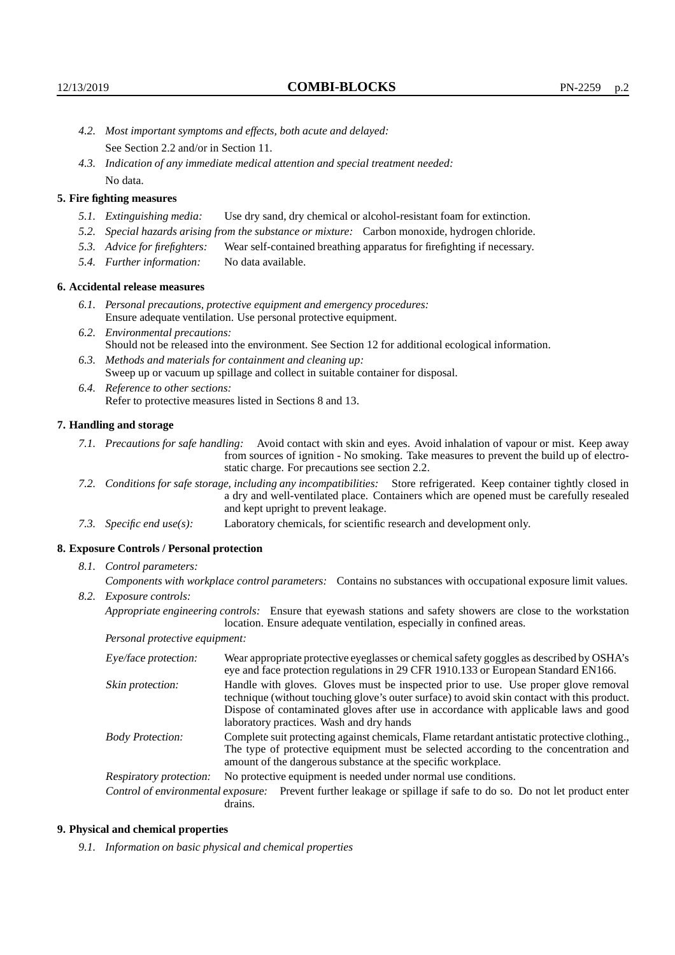- *4.2. Most important symptoms and effects, both acute and delayed:* See Section 2.2 and/or in Section 11.
- *4.3. Indication of any immediate medical attention and special treatment needed:* No data.

# **5. Fire fighting measures**

- *5.1. Extinguishing media:* Use dry sand, dry chemical or alcohol-resistant foam for extinction.
- *5.2. Special hazards arising from the substance or mixture:* Carbon monoxide, hydrogen chloride.
- *5.3. Advice for firefighters:* Wear self-contained breathing apparatus for firefighting if necessary.
- *5.4. Further information:* No data available.

### **6. Accidental release measures**

- *6.1. Personal precautions, protective equipment and emergency procedures:* Ensure adequate ventilation. Use personal protective equipment.
- *6.2. Environmental precautions:* Should not be released into the environment. See Section 12 for additional ecological information.
- *6.3. Methods and materials for containment and cleaning up:* Sweep up or vacuum up spillage and collect in suitable container for disposal.
- *6.4. Reference to other sections:* Refer to protective measures listed in Sections 8 and 13.

#### **7. Handling and storage**

- *7.1. Precautions for safe handling:* Avoid contact with skin and eyes. Avoid inhalation of vapour or mist. Keep away from sources of ignition - No smoking. Take measures to prevent the build up of electrostatic charge. For precautions see section 2.2.
- *7.2. Conditions for safe storage, including any incompatibilities:* Store refrigerated. Keep container tightly closed in a dry and well-ventilated place. Containers which are opened must be carefully resealed and kept upright to prevent leakage.
- *7.3. Specific end use(s):* Laboratory chemicals, for scientific research and development only.

### **8. Exposure Controls / Personal protection**

*8.1. Control parameters:*

*Components with workplace control parameters:* Contains no substances with occupational exposure limit values. *8.2. Exposure controls:*

*Appropriate engineering controls:* Ensure that eyewash stations and safety showers are close to the workstation location. Ensure adequate ventilation, especially in confined areas.

*Personal protective equipment:*

| Eye/face protection:    | Wear appropriate protective eyeglasses or chemical safety goggles as described by OSHA's<br>eye and face protection regulations in 29 CFR 1910.133 or European Standard EN166.                                                                                                                                         |  |
|-------------------------|------------------------------------------------------------------------------------------------------------------------------------------------------------------------------------------------------------------------------------------------------------------------------------------------------------------------|--|
| Skin protection:        | Handle with gloves. Gloves must be inspected prior to use. Use proper glove removal<br>technique (without touching glove's outer surface) to avoid skin contact with this product.<br>Dispose of contaminated gloves after use in accordance with applicable laws and good<br>laboratory practices. Wash and dry hands |  |
| <b>Body Protection:</b> | Complete suit protecting against chemicals, Flame retardant antistatic protective clothing.,<br>The type of protective equipment must be selected according to the concentration and<br>amount of the dangerous substance at the specific workplace.                                                                   |  |
| Respiratory protection: | No protective equipment is needed under normal use conditions.                                                                                                                                                                                                                                                         |  |
|                         | Control of environmental exposure: Prevent further leakage or spillage if safe to do so. Do not let product enter<br>drains.                                                                                                                                                                                           |  |

#### **9. Physical and chemical properties**

*9.1. Information on basic physical and chemical properties*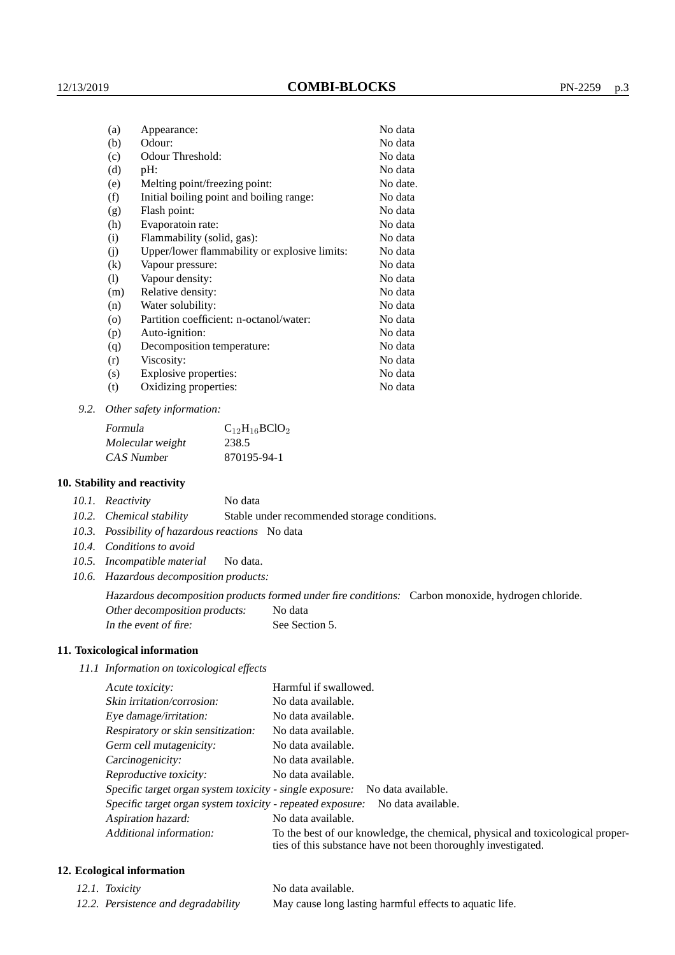| (a)      | Appearance:                                   | No data  |
|----------|-----------------------------------------------|----------|
| (b)      | Odour:                                        | No data  |
| (c)      | Odour Threshold:                              | No data  |
| (d)      | pH:                                           | No data  |
| (e)      | Melting point/freezing point:                 | No date. |
| (f)      | Initial boiling point and boiling range:      | No data  |
| (g)      | Flash point:                                  | No data  |
| (h)      | Evaporatoin rate:                             | No data  |
| (i)      | Flammability (solid, gas):                    | No data  |
| (j)      | Upper/lower flammability or explosive limits: | No data  |
| $\rm(k)$ | Vapour pressure:                              | No data  |
| (1)      | Vapour density:                               | No data  |
| (m)      | Relative density:                             | No data  |
| (n)      | Water solubility:                             | No data  |
| $\circ$  | Partition coefficient: n-octanol/water:       | No data  |
| (p)      | Auto-ignition:                                | No data  |
| (q)      | Decomposition temperature:                    | No data  |
| (r)      | Viscosity:                                    | No data  |
| (s)      | Explosive properties:                         | No data  |
| (t)      | Oxidizing properties:                         | No data  |

*9.2. Other safety information:*

| Formula          | $C_{12}H_{16}BClO_2$ |
|------------------|----------------------|
| Molecular weight | 238.5                |
| CAS Number       | 870195-94-1          |

### **10. Stability and reactivity**

*10.2. Chemical stability* Stable under recommended storage conditions.

- *10.3. Possibility of hazardous reactions* No data
- *10.4. Conditions to avoid*
- *10.5. Incompatible material* No data.
- *10.6. Hazardous decomposition products:*

Hazardous decomposition products formed under fire conditions: Carbon monoxide, hydrogen chloride. Other decomposition products: No data

In the event of fire: See Section 5.

### **11. Toxicological information**

*11.1 Information on toxicological effects*

| Acute toxicity:                                                                  | Harmful if swallowed.                                                                                                                           |  |
|----------------------------------------------------------------------------------|-------------------------------------------------------------------------------------------------------------------------------------------------|--|
| Skin irritation/corrosion:                                                       | No data available.                                                                                                                              |  |
| Eye damage/irritation:                                                           | No data available.                                                                                                                              |  |
| Respiratory or skin sensitization:                                               | No data available.                                                                                                                              |  |
| Germ cell mutagenicity:                                                          | No data available.                                                                                                                              |  |
| Carcinogenicity:                                                                 | No data available.                                                                                                                              |  |
| Reproductive toxicity:                                                           | No data available.                                                                                                                              |  |
|                                                                                  | Specific target organ system toxicity - single exposure: No data available.                                                                     |  |
| Specific target organ system toxicity - repeated exposure:<br>No data available. |                                                                                                                                                 |  |
| Aspiration hazard:                                                               | No data available.                                                                                                                              |  |
| Additional information:                                                          | To the best of our knowledge, the chemical, physical and toxicological proper-<br>ties of this substance have not been thoroughly investigated. |  |

# **12. Ecological information**

- -

*12.1. Toxicity* No data available. *12.2. Persistence and degradability* May cause long lasting harmful effects to aquatic life.